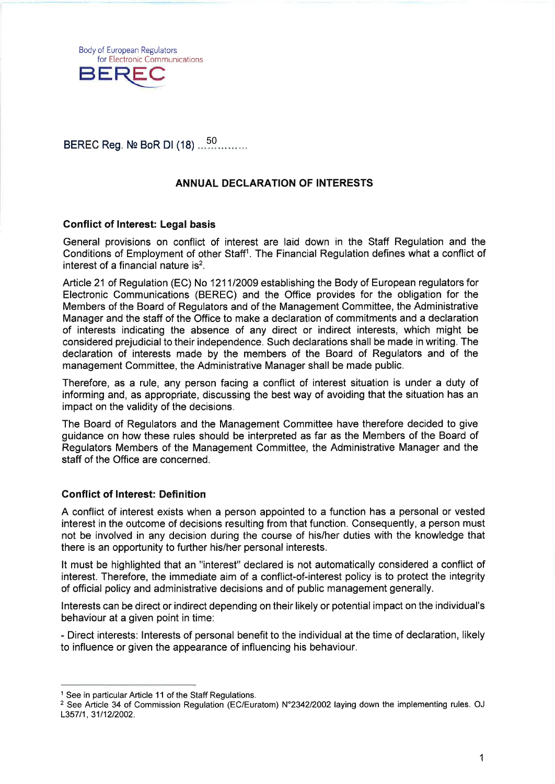Body of European Regulators for Electronic Communications<br>BEREC

# BEREC Reg. № BoR DI (18) .......

# ANNUAL DECLARATION OF INTERESTS

## Gonflict of Interest: Legal basis

General provisions on conflict of interest are laid down in the Staff Regulation and the Conditions of Employment of other Staff<sup>1</sup>. The Financial Regulation defines what a conflict of interest of a financial nature is $2$ .

Article 21 of Regulation (EC) No 121 112009 establishing the Body of European regulators for Electronic Communications (BEREC) and the Office provides for the obligation for the Members of the Board of Regulators and of the Management Committee, the Administrative Manager and the staff of the Office to make a declaration of commitments and a declaration of interests indicating the absence of any direct or indirect interests, which might be considered prejudicial to their independence. Such declarations shall be made in writing. The declaration of interests made by the members of the Board of Regulators and of the management Committee, the Administrative Manager shall be made public.

Therefore, as a rule, any person facing a conflict of interest situation is under a duty of informing and, as appropriate, discussing the best way of avoiding that the situation has an impact on the validity of the decisions.

The Board of Regulators and the Management Committee have therefore decided to give guidance on how these rules should be interpreted as far as the Members of the Board of Regulators Members of the Management Committee, the Administrative Manager and the staff of the Office are concerned.

## Conflict of lnterest: Definition

A conflict of interest exists when a person appointed to a function has a personal or vested interest in the outcome of decisions resulting from that function. Consequently, a person must not be involved in any decision during the course of his/her duties with the knowledge that there is an opportunity to further his/her personal interests.

It must be highlighted that an "interest" declared is not automatically considered a conflict of interest. Therefore, the immediate aim of a conflict-of-interest policy is to protect the integrity of official policy and administrative decisions and of public management generally.

lnterests can be direct or indirect depending on their likely or potential impact on the individual's behaviour at a given point in time:

- Direct interests: lnterests of personal benefit to the individual at the time of declaration, likely to influence or given the appearance of influencing his behaviour.

<sup>&</sup>lt;sup>1</sup> See in particular Article 11 of the Staff Regulations.

<sup>&</sup>lt;sup>2</sup> See Article 34 of Commission Regulation (EC/Euratom) N°2342/2002 laying down the implementing rules. OJ L357/1, 31/12/2002.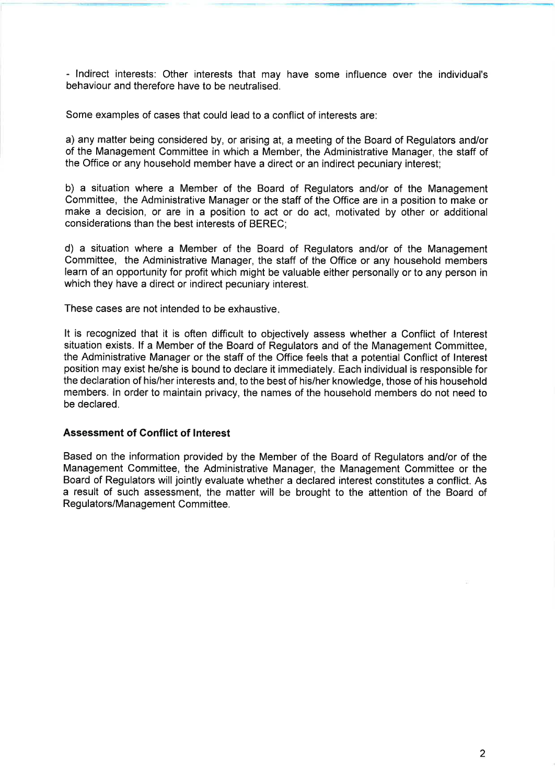- lndirect interests: Other interests that may have some influence over the individual's behaviour and therefore have to be neutralised.

Some examples of cases that could lead to a conflict of interests are:

a) any matter being considered by, or arising at, a meeting of the Board of Regulators and/or of the Management Committee in which a Member, the Administrative Manager, the staff of the Office or any household member have a direct or an indirect pecuniary interest;

b) a situation where a Member of the Board of Regulators and/or of the Management Committee, the Administrative Manager or the staff of the Office are in a position to make or make a decision, or are in a position to act or do act, motivated by other or additional considerations than the best interests of BEREC;

d) a situation where a Member of the Board of Regulators and/or of the Management Committee, the Administrative Manager, the staff of the Office or any household members learn of an opportunity for profit which might be valuable either personally or to any person in which they have a direct or indirect pecuniary interest.

These cases are not intended to be exhaustive

It is recognized that it is often difficult to objectively assess whether a Conflict of lnterest situation exists. lf a Member of the Board of Regulators and of the Management Committee, the Administrative Manager or the staff of the Office feels that a potential Conflict of lnterest position may exist he/she is bound to declare it immediately. Each individual is responsible for the declaration of his/her interests and, to the best of his/her knowledge, those of his household members. ln order to maintain privacy, the names of the household members do not need to be declared.

#### Assessment of Gonflict of lnterest

Based on the information provided by the Member of the Board of Regulators and/or of the Management Committee, the Administrative Manager, the Management Committee or the Board of Regulators will jointly evaluate whether a declared interest constitutes a conflict. As a result of such assessment, the matter will be brought to the attention of the Board of Regulators/Management Committee.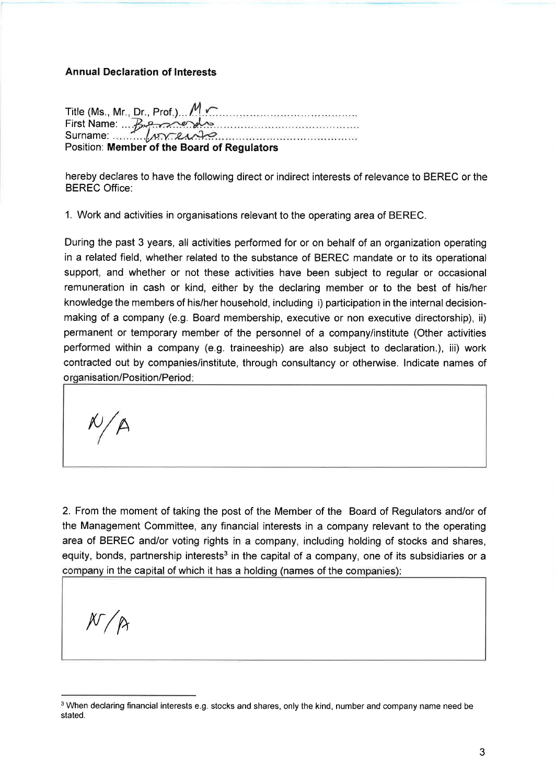#### Annual Declaration of Interests

Title (Ms., Mr., Dr., Prof.)... / First Name: Berner <u> Alexandria e concerta e concerta e con esta esp</u>  $S$ urname:  $\sqrt{rr}$ Position: Member of the Board of Regulators

hereby declares to have the following direct or indirect interests of relevance to BEREC or the BEREC Office:

1. Work and activities in organisations relevant to the operating area of BEREC.

During the past 3 years, all activities performed for or on behalf of an organization operating in a related field, whether related to the substance of BEREC mandate or to its operational support, and whether or not these activities have been subject to regular or occasional remuneration in cash or kind, either by the declaring member or to the best of his/her knowledge the members of his/her household, including i) participation in the internal decisionmaking of a company (e.g. Board membership, executive or non executive directorship), ii) permanent or temporary member of the personnel of a company/institute (Other activities performed within a company (e.9. traineeship) are also subject to declaration.), iii) work contracted out by companies/institute, through consultancy or othenuise. lndicate names of organisation/Position/Period:

t0 A

2. From the moment of taking the post of the Member of the Board of Regulators and/or of the Management Committee, any financial interests in a company relevant to the operating area of BEREC and/or voting rights in a company, including holding of stocks and shares, equity, bonds, partnership interests<sup>3</sup> in the capital of a company, one of its subsidiaries or a company in the capital of which it has a holding (names of the companies):

 $N/R$ 

<sup>&</sup>lt;sup>3</sup> When declaring financial interests e.g. stocks and shares, only the kind, number and company name need be stated.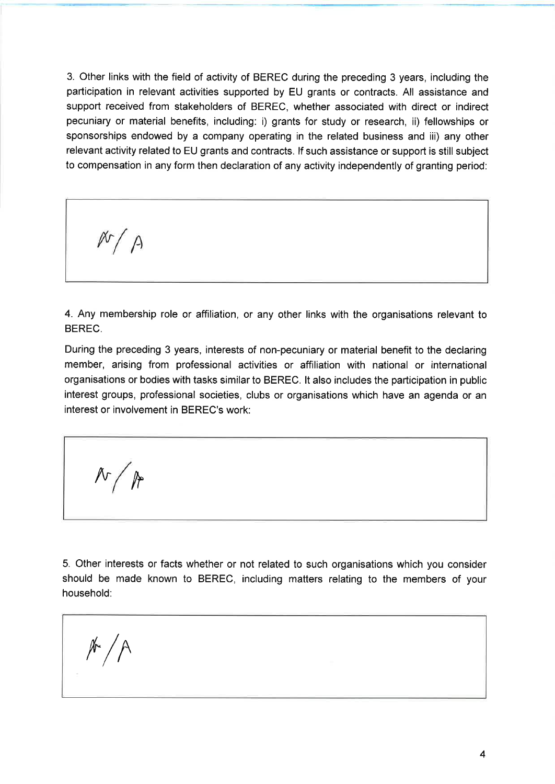3. Other links with the field of activity of BEREC during the preceding 3 years, including the participation in relevant activities supported by EU grants or contracts. All assistance and support received from stakeholders of BEREC, whether associated with direct or indirect pecuniary or material benefits, including: i) grants for study or research, ii) fellowships or sponsorships endowed by a company operating in the related business and iii) any other relevant activity related to EU grants and contracts. lf such assistance or support is still subject to compensation in any form then declaration of any activity independently of granting period:

4. Any membership role or affiliation, or any other links with the organisations relevant to BEREC.

During the preceding 3 years, interests of non-pecuniary or material benefit to the declaring member, arising from professional activities or affiliation with national or international organisations or bodies with tasks similar to BEREC. lt also includes the participation in public interest groups, professional societies, clubs or organisations which have an agenda or an interest or involvement in BEREC's work:

 $N / R$ 

 $N/A$ 

5. Other interests or facts whether or not related to such organisations which you consider should be made known to BEREC, including matters relating to the members of your household:

 $\sqrt[k]{\sqrt{2}}$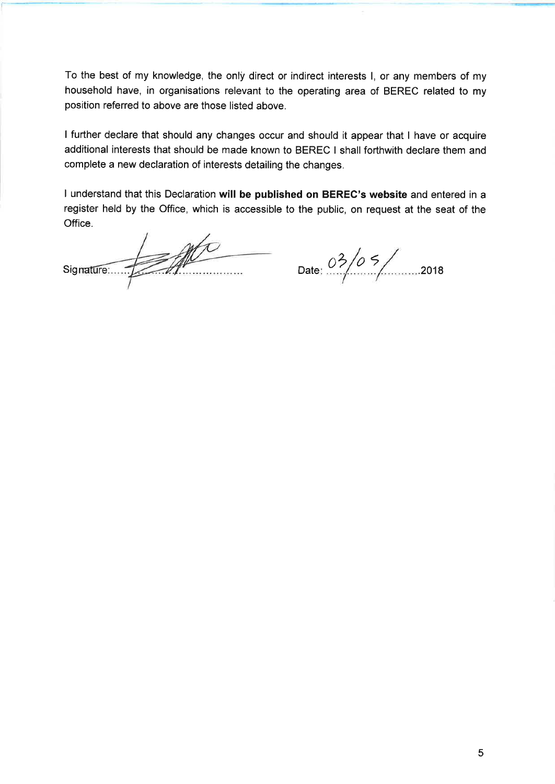To the best of my knowledge, the only direct or indirect interests I, or any members of my household have, in organisations relevant to the operating area of BEREC related to my position referred to above are those listed above.

I further declare that should any changes occur and should it appear that I have or acquire additional interests that should be made known to BEREC I shall forthwith declare them and complete a new declaration of interests detailing the changes.

I understand that this Declaration will be published on BEREC's website and entered in a register held by the Office, which is accessible to the public, on request at the seat of the Office.

Signature:  $\frac{03}{03}$  Date:  $\frac{03}{05}$